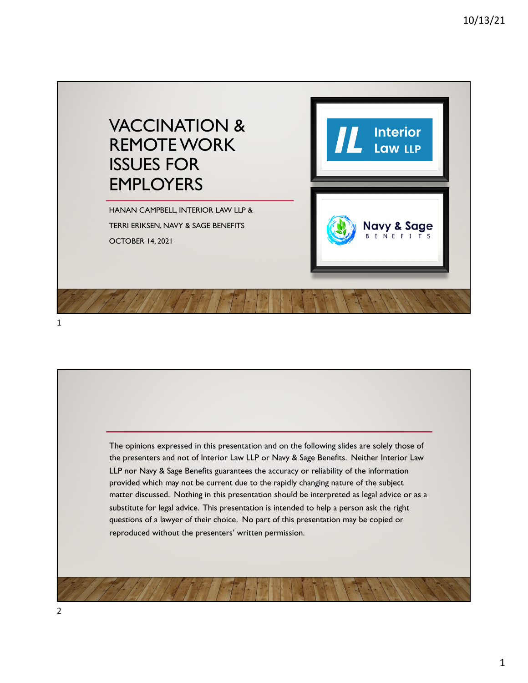

1

The opinions expressed in this presentation and on the following slides are solely those of the presenters and not of Interior Law LLP or Navy & Sage Benefits. Neither Interior Law LLP nor Navy & Sage Benefits guarantees the accuracy or reliability of the information provided which may not be current due to the rapidly changing nature of the subject matter discussed. Nothing in this presentation should be interpreted as legal advice or as a substitute for legal advice. This presentation is intended to help a person ask the right questions of a lawyer of their choice. No part of this presentation may be copied or reproduced without the presenters' written permission.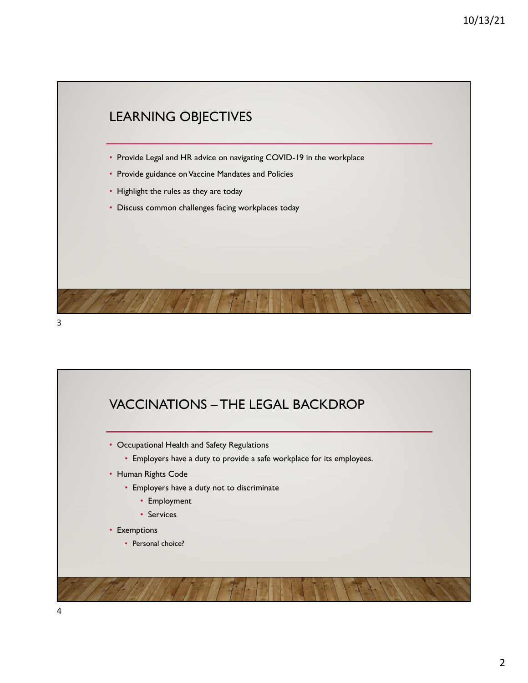

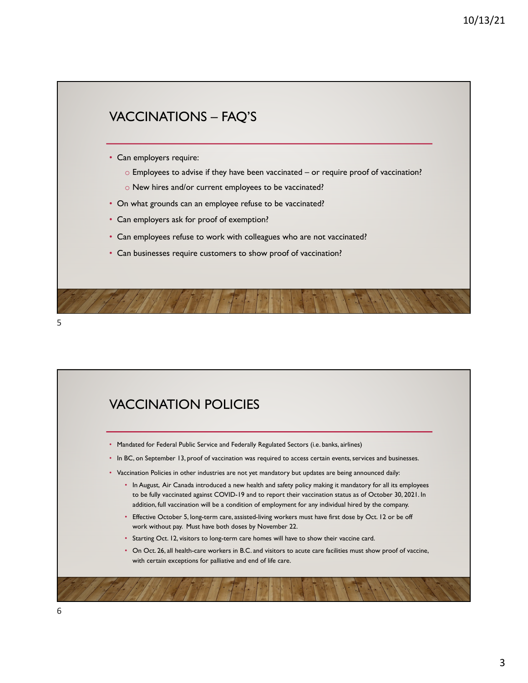



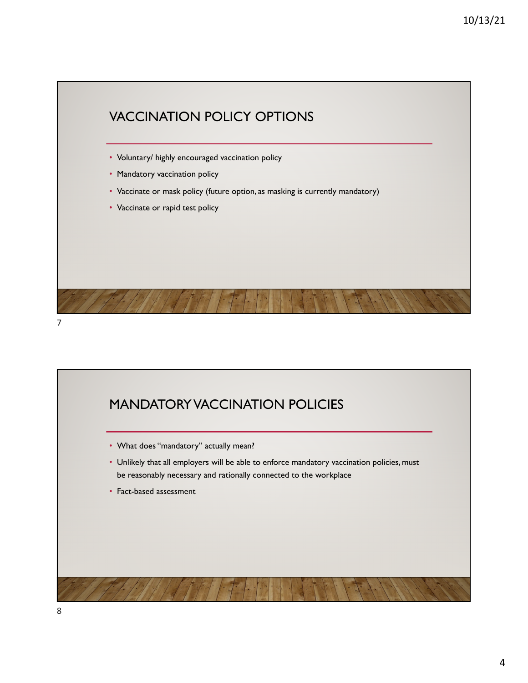

## MANDATORY VACCINATION POLICIES

- What does "mandatory" actually mean?
- Unlikely that all employers will be able to enforce mandatory vaccination policies, must be reasonably necessary and rationally connected to the workplace
- Fact-based assessment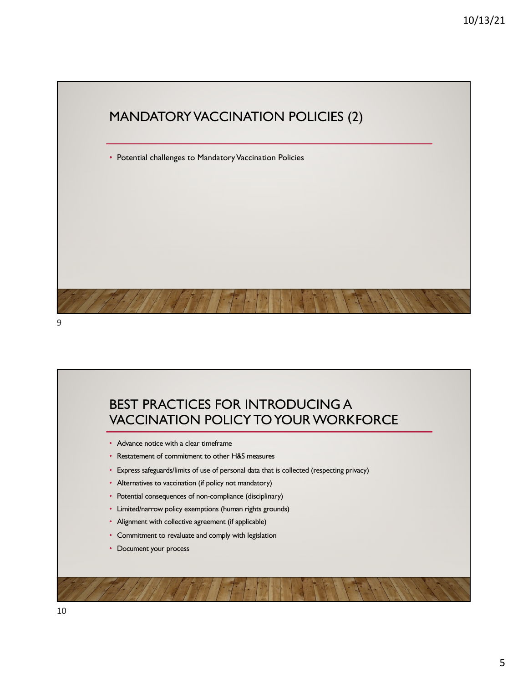

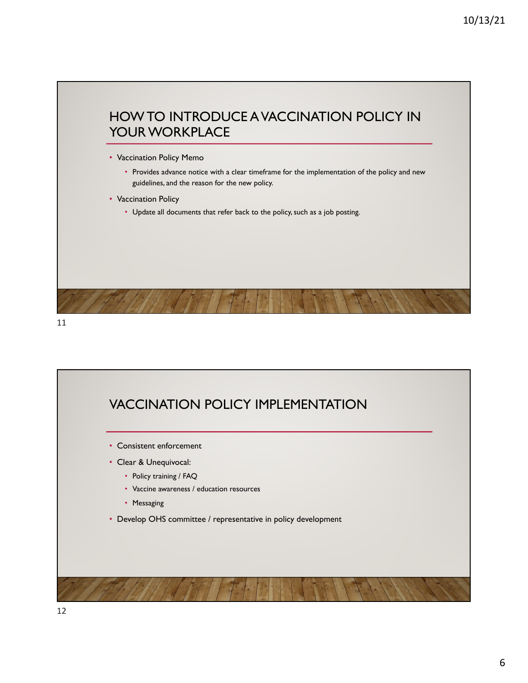



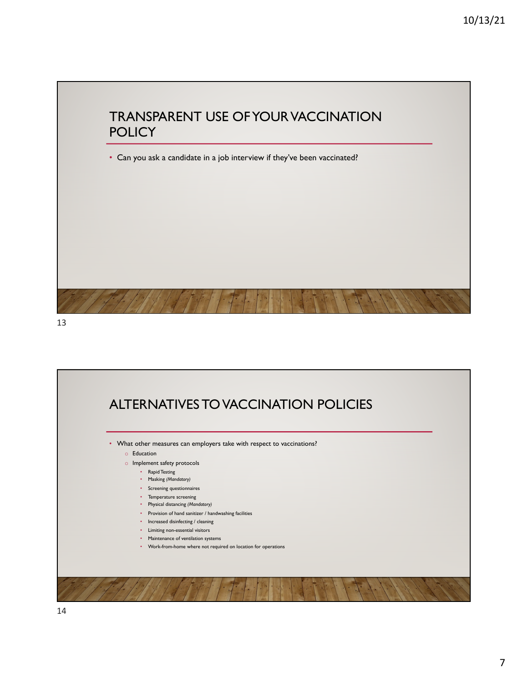

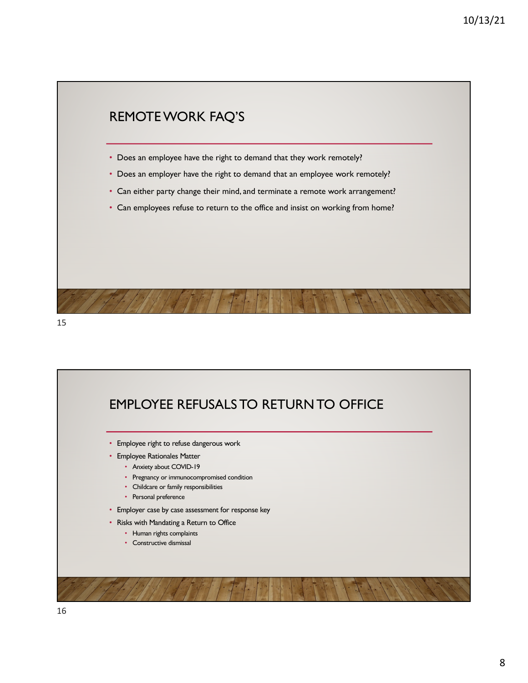



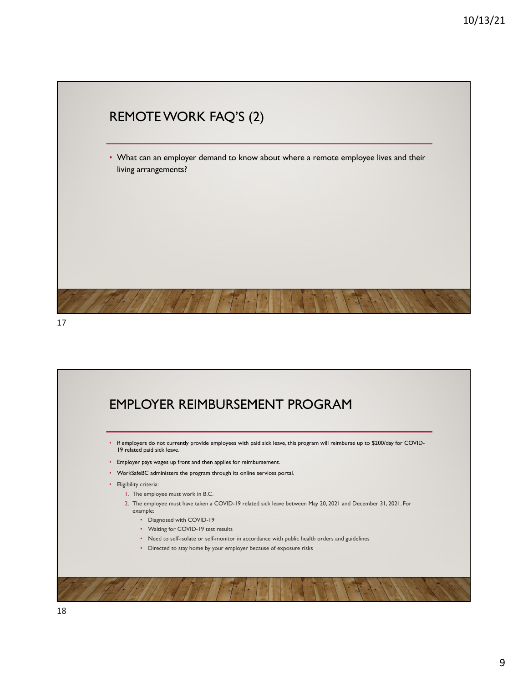



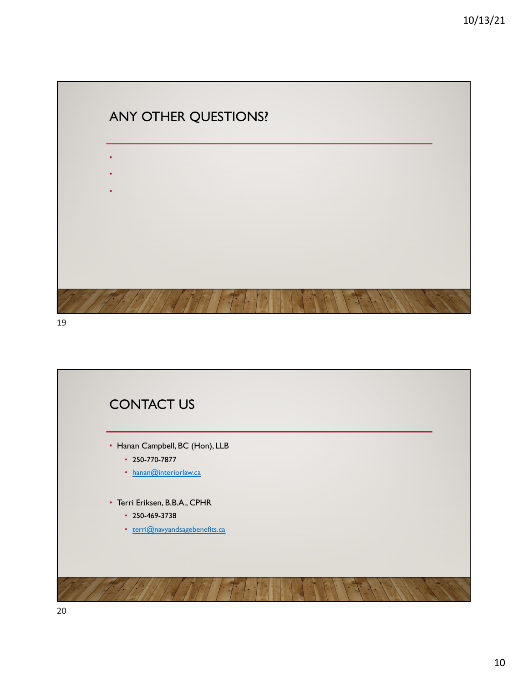